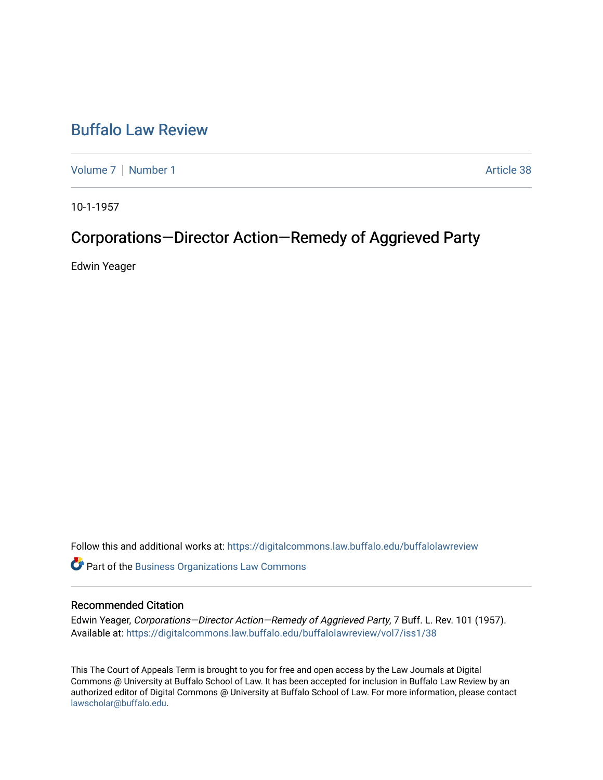# [Buffalo Law Review](https://digitalcommons.law.buffalo.edu/buffalolawreview)

[Volume 7](https://digitalcommons.law.buffalo.edu/buffalolawreview/vol7) | [Number 1](https://digitalcommons.law.buffalo.edu/buffalolawreview/vol7/iss1) Article 38

10-1-1957

# Corporations-Director Action-Remedy of Aggrieved Party

Edwin Yeager

Follow this and additional works at: [https://digitalcommons.law.buffalo.edu/buffalolawreview](https://digitalcommons.law.buffalo.edu/buffalolawreview?utm_source=digitalcommons.law.buffalo.edu%2Fbuffalolawreview%2Fvol7%2Fiss1%2F38&utm_medium=PDF&utm_campaign=PDFCoverPages) 

**Part of the [Business Organizations Law Commons](http://network.bepress.com/hgg/discipline/900?utm_source=digitalcommons.law.buffalo.edu%2Fbuffalolawreview%2Fvol7%2Fiss1%2F38&utm_medium=PDF&utm_campaign=PDFCoverPages)** 

### Recommended Citation

Edwin Yeager, Corporations—Director Action—Remedy of Aggrieved Party, 7 Buff. L. Rev. 101 (1957). Available at: [https://digitalcommons.law.buffalo.edu/buffalolawreview/vol7/iss1/38](https://digitalcommons.law.buffalo.edu/buffalolawreview/vol7/iss1/38?utm_source=digitalcommons.law.buffalo.edu%2Fbuffalolawreview%2Fvol7%2Fiss1%2F38&utm_medium=PDF&utm_campaign=PDFCoverPages) 

This The Court of Appeals Term is brought to you for free and open access by the Law Journals at Digital Commons @ University at Buffalo School of Law. It has been accepted for inclusion in Buffalo Law Review by an authorized editor of Digital Commons @ University at Buffalo School of Law. For more information, please contact [lawscholar@buffalo.edu](mailto:lawscholar@buffalo.edu).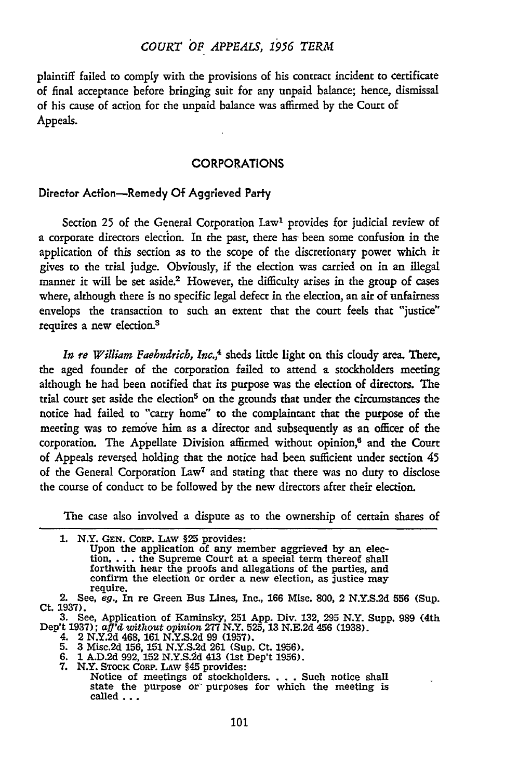## *COURT 6F APPEALS, 1956 TERM*

plaintiff failed to comply with the provisions of his contract incident to certificate of final acceptance before bringing suit for any unpaid balance; hence, dismissal of his cause of action for the unpaid balance was affirmed by the Court of Appeals.

#### CORPORATIONS

#### Director Action-Remedy **Of** Aggrieved Party

Section 25 of the General Corporation Law<sup>1</sup> provides for judicial review of a corporate directors election. In the past, there has been some confusion in the application of this section as to the scope of the discretionary power which it gives to the trial judge. Obviously, if the election was carried on in an illegal manner it will be set aside.<sup>2</sup> However, the difficulty arises in the group of cases where, although there is no specific legal defect in the election, an air of unfairness envelops the transaction to such an extent that the court feels that "justice" requires a new election.3

*In re William Faehndrich, Inc.,4* sheds little light on this cloudy area. There, the aged founder of the corporation failed to attend a stockholders meeting although he had been notified that its purpose was the election of directors. The trial court set aside the election<sup>5</sup> on the grounds that under the circumstances the notice had failed to "carry home" to the complaintant that the purpose of the meeting was to remove him as a director and subsequently as an officer of the corporation. The Appellate Division affirmed without opinion,<sup>6</sup> and the Court of Appeals reversed holding that the notice had been sufficient under section 45 of the General Corporation Law<sup>7</sup> and stating that there was no duty to disclose the course of conduct to be followed by the new directors after their election.

The case also involved a dispute as to the ownership of certain shares of

|  |  |  | 1. N.Y. GEN. CORP. LAW §25 provides: |
|--|--|--|--------------------------------------|
|  |  |  |                                      |

Upon the application of any member aggrieved **by** an election,  $\dots$  the Supreme Court at a special term thereof shall forthwith hear the proofs and allegations of the parties, and confirm the election or order a new election, as justice may require. **2.** See, *eg.,* In re Green Bus Lines, Inc., **166** Misc. **800,** 2 **N.Y.S.2d 556** (Sup.

- 4. 2 N.Y.2d 468, **161** N.Y.S.2d 99 **(1957).**
- 5. 3 Misc.2d 156, 151 N.Y.S.2d **261** (Sup. Ct. 1956). 6. **1** A.D.2d 992, 152 N.Y.S.2d 413 (1st Dep't 1956).
- 
- 

Ct. **1937).**

<sup>3.</sup> See, Application of Kaminsky, 251 **App.** Div. 132, 295 N.Y. Supp. 989 (4th Dep't **1937);** *aff'd, without opinion* 277 N.Y. **525, 13** N.E.2d 456 **(1938).**

<sup>7.</sup> N.Y. STOCK CORP. LAW §45 provides:<br>Notice of meetings of stockholders. . . . Such notice shall state the purpose or purposes for which the meeting is called ...